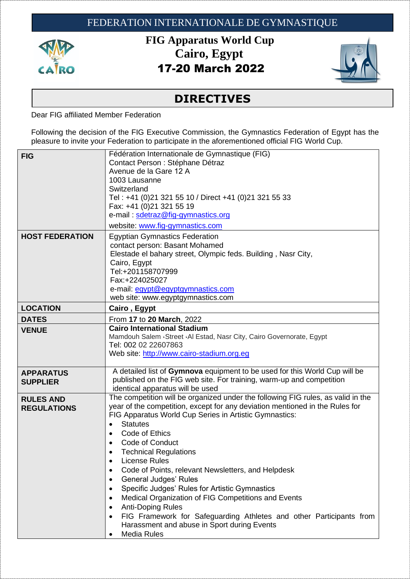

**FIG Apparatus World Cup Cairo, Egypt**  17-20 March 2022



## **DIRECTIVES**

Dear FIG affiliated Member Federation

Following the decision of the FIG Executive Commission, the Gymnastics Federation of Egypt has the pleasure to invite your Federation to participate in the aforementioned official FIG World Cup.

| <b>FIG</b>                             | Fédération Internationale de Gymnastique (FIG)<br>Contact Person : Stéphane Détraz<br>Avenue de la Gare 12 A<br>1003 Lausanne<br>Switzerland<br>Tel: +41 (0)21 321 55 10 / Direct +41 (0)21 321 55 33<br>Fax: +41 (0)21 321 55 19<br>e-mail: sdetraz@fig-gymnastics.org<br>website: www.fig-gymnastics.com                                                                                                                                                                                                                                                                                                                                                                                                                                                                                                                                          |
|----------------------------------------|-----------------------------------------------------------------------------------------------------------------------------------------------------------------------------------------------------------------------------------------------------------------------------------------------------------------------------------------------------------------------------------------------------------------------------------------------------------------------------------------------------------------------------------------------------------------------------------------------------------------------------------------------------------------------------------------------------------------------------------------------------------------------------------------------------------------------------------------------------|
| <b>HOST FEDERATION</b>                 | <b>Egyptian Gymnastics Federation</b><br>contact person: Basant Mohamed<br>Elestade el bahary street, Olympic feds. Building, Nasr City,<br>Cairo, Egypt<br>Tel:+201158707999<br>Fax:+224025027<br>e-mail: egypt@egyptgymnastics.com<br>web site: www.egyptgymnastics.com                                                                                                                                                                                                                                                                                                                                                                                                                                                                                                                                                                           |
| <b>LOCATION</b>                        | Cairo, Egypt                                                                                                                                                                                                                                                                                                                                                                                                                                                                                                                                                                                                                                                                                                                                                                                                                                        |
| <b>DATES</b>                           | From 17 to 20 March, 2022                                                                                                                                                                                                                                                                                                                                                                                                                                                                                                                                                                                                                                                                                                                                                                                                                           |
| <b>VENUE</b>                           | <b>Cairo International Stadium</b><br>Mamdouh Salem Gtreet GAI Estad, Nasr City, Cairo Governorate, Egypt<br>Tel: 002 02 22607863<br>Web site: http://www.cairo-stadium.org.eg                                                                                                                                                                                                                                                                                                                                                                                                                                                                                                                                                                                                                                                                      |
| <b>APPARATUS</b><br><b>SUPPLIER</b>    | A detailed list of Gymnova equipment to be used for this World Cup will be<br>published on the FIG web site. For training, warm-up and competition<br>identical apparatus will be used                                                                                                                                                                                                                                                                                                                                                                                                                                                                                                                                                                                                                                                              |
| <b>RULES AND</b><br><b>REGULATIONS</b> | The competition will be organized under the following FIG rules, as valid in the<br>year of the competition, except for any deviation mentioned in the Rules for<br>FIG Apparatus World Cup Series in Artistic Gymnastics:<br><b>Statutes</b><br>$\bullet$<br>Code of Ethics<br>$\bullet$<br><b>Code of Conduct</b><br>$\bullet$<br><b>Technical Regulations</b><br><b>License Rules</b><br>$\bullet$<br>Code of Points, relevant Newsletters, and Helpdesk<br><b>General Judges' Rules</b><br>$\bullet$<br>Specific Judges' Rules for Artistic Gymnastics<br>$\bullet$<br>Medical Organization of FIG Competitions and Events<br>$\bullet$<br><b>Anti-Doping Rules</b><br>$\bullet$<br>FIG Framework for Safeguarding Athletes and other Participants from<br>$\bullet$<br>Harassment and abuse in Sport during Events<br>Media Rules<br>$\bullet$ |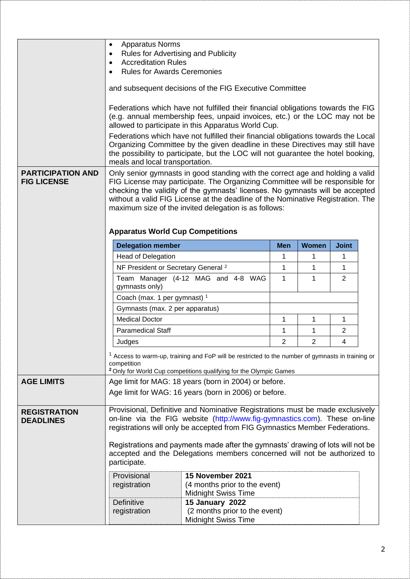|                                                | <b>Apparatus Norms</b><br>$\bullet$<br>Rules for Advertising and Publicity<br>٠<br><b>Accreditation Rules</b><br>$\bullet$                                                                                                                                                                                                                                                                                                              |                                                                                                                                                                                                                                                          |            |                |              |  |
|------------------------------------------------|-----------------------------------------------------------------------------------------------------------------------------------------------------------------------------------------------------------------------------------------------------------------------------------------------------------------------------------------------------------------------------------------------------------------------------------------|----------------------------------------------------------------------------------------------------------------------------------------------------------------------------------------------------------------------------------------------------------|------------|----------------|--------------|--|
|                                                | <b>Rules for Awards Ceremonies</b>                                                                                                                                                                                                                                                                                                                                                                                                      |                                                                                                                                                                                                                                                          |            |                |              |  |
|                                                |                                                                                                                                                                                                                                                                                                                                                                                                                                         | and subsequent decisions of the FIG Executive Committee                                                                                                                                                                                                  |            |                |              |  |
|                                                |                                                                                                                                                                                                                                                                                                                                                                                                                                         | Federations which have not fulfilled their financial obligations towards the FIG<br>(e.g. annual membership fees, unpaid invoices, etc.) or the LOC may not be<br>allowed to participate in this Apparatus World Cup.                                    |            |                |              |  |
|                                                | meals and local transportation.                                                                                                                                                                                                                                                                                                                                                                                                         | Federations which have not fulfilled their financial obligations towards the Local<br>Organizing Committee by the given deadline in these Directives may still have<br>the possibility to participate, but the LOC will not guarantee the hotel booking, |            |                |              |  |
| <b>PARTICIPATION AND</b><br><b>FIG LICENSE</b> | Only senior gymnasts in good standing with the correct age and holding a valid<br>FIG License may participate. The Organizing Committee will be responsible for<br>checking the validity of the gymnasts' licenses. No gymnasts will be accepted<br>without a valid FIG License at the deadline of the Nominative Registration. The<br>maximum size of the invited delegation is as follows:<br><b>Apparatus World Cup Competitions</b> |                                                                                                                                                                                                                                                          |            |                |              |  |
|                                                | <b>Delegation member</b>                                                                                                                                                                                                                                                                                                                                                                                                                |                                                                                                                                                                                                                                                          | <b>Men</b> | <b>Women</b>   | <b>Joint</b> |  |
|                                                | <b>Head of Delegation</b>                                                                                                                                                                                                                                                                                                                                                                                                               |                                                                                                                                                                                                                                                          | 1          | 1              | 1            |  |
|                                                | NF President or Secretary General <sup>2</sup>                                                                                                                                                                                                                                                                                                                                                                                          |                                                                                                                                                                                                                                                          | 1          | 1              | 1            |  |
|                                                | Team Manager (4-12 MAG and 4-8 WAG<br>1<br>2<br>1<br>gymnasts only)                                                                                                                                                                                                                                                                                                                                                                     |                                                                                                                                                                                                                                                          |            |                |              |  |
|                                                | Coach (max. 1 per gymnast) <sup>1</sup>                                                                                                                                                                                                                                                                                                                                                                                                 |                                                                                                                                                                                                                                                          |            |                |              |  |
|                                                | Gymnasts (max. 2 per apparatus)                                                                                                                                                                                                                                                                                                                                                                                                         |                                                                                                                                                                                                                                                          |            |                |              |  |
|                                                | <b>Medical Doctor</b><br>1<br>1                                                                                                                                                                                                                                                                                                                                                                                                         |                                                                                                                                                                                                                                                          |            |                | 1            |  |
|                                                | <b>Paramedical Staff</b>                                                                                                                                                                                                                                                                                                                                                                                                                | 1                                                                                                                                                                                                                                                        | 1          | $\overline{2}$ |              |  |
|                                                | Judges                                                                                                                                                                                                                                                                                                                                                                                                                                  |                                                                                                                                                                                                                                                          |            |                | 4            |  |
|                                                | <sup>1</sup> Access to warm-up, training and FoP will be restricted to the number of gymnasts in training or<br>competition<br><sup>2</sup> Only for World Cup competitions qualifying for the Olympic Games                                                                                                                                                                                                                            |                                                                                                                                                                                                                                                          |            |                |              |  |
| <b>AGE LIMITS</b>                              | Age limit for MAG: 18 years (born in 2004) or before.                                                                                                                                                                                                                                                                                                                                                                                   |                                                                                                                                                                                                                                                          |            |                |              |  |
|                                                | Age limit for WAG: 16 years (born in 2006) or before.                                                                                                                                                                                                                                                                                                                                                                                   |                                                                                                                                                                                                                                                          |            |                |              |  |
| <b>REGISTRATION</b><br><b>DEADLINES</b>        | Provisional, Definitive and Nominative Registrations must be made exclusively<br>on-line via the FIG website (http://www.fig-gymnastics.com). These on-line<br>registrations will only be accepted from FIG Gymnastics Member Federations.<br>Registrations and payments made after the gymnasts' drawing of lots will not be<br>accepted and the Delegations members concerned will not be authorized to                               |                                                                                                                                                                                                                                                          |            |                |              |  |
|                                                | participate.                                                                                                                                                                                                                                                                                                                                                                                                                            |                                                                                                                                                                                                                                                          |            |                |              |  |
|                                                | Provisional                                                                                                                                                                                                                                                                                                                                                                                                                             | 15 November 2021                                                                                                                                                                                                                                         |            |                |              |  |
|                                                | registration                                                                                                                                                                                                                                                                                                                                                                                                                            | (4 months prior to the event)                                                                                                                                                                                                                            |            |                |              |  |
|                                                | Definitive                                                                                                                                                                                                                                                                                                                                                                                                                              | <b>Midnight Swiss Time</b><br>15 January 2022                                                                                                                                                                                                            |            |                |              |  |
|                                                | (2 months prior to the event)<br>registration<br><b>Midnight Swiss Time</b>                                                                                                                                                                                                                                                                                                                                                             |                                                                                                                                                                                                                                                          |            |                |              |  |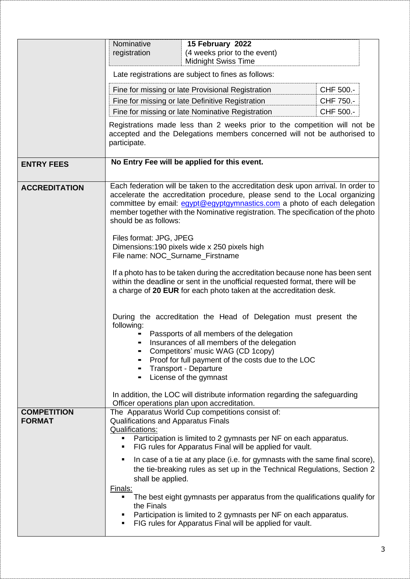|                                     | Nominative                                                                                                                                                                                                                                                                                                                                                | 15 February 2022                                                                                                                                                                                          |            |  |  |
|-------------------------------------|-----------------------------------------------------------------------------------------------------------------------------------------------------------------------------------------------------------------------------------------------------------------------------------------------------------------------------------------------------------|-----------------------------------------------------------------------------------------------------------------------------------------------------------------------------------------------------------|------------|--|--|
|                                     | registration                                                                                                                                                                                                                                                                                                                                              | (4 weeks prior to the event)<br><b>Midnight Swiss Time</b>                                                                                                                                                |            |  |  |
|                                     | Late registrations are subject to fines as follows:                                                                                                                                                                                                                                                                                                       |                                                                                                                                                                                                           |            |  |  |
|                                     | CHF 500.-<br>Fine for missing or late Provisional Registration                                                                                                                                                                                                                                                                                            |                                                                                                                                                                                                           |            |  |  |
|                                     |                                                                                                                                                                                                                                                                                                                                                           | Fine for missing or late Definitive Registration                                                                                                                                                          | CHF 750.-  |  |  |
|                                     |                                                                                                                                                                                                                                                                                                                                                           | Fine for missing or late Nominative Registration                                                                                                                                                          | CHF 500 .- |  |  |
|                                     | Registrations made less than 2 weeks prior to the competition will not be<br>accepted and the Delegations members concerned will not be authorised to<br>participate.                                                                                                                                                                                     |                                                                                                                                                                                                           |            |  |  |
| <b>ENTRY FEES</b>                   |                                                                                                                                                                                                                                                                                                                                                           | No Entry Fee will be applied for this event.                                                                                                                                                              |            |  |  |
| <b>ACCREDITATION</b>                | Each federation will be taken to the accreditation desk upon arrival. In order to<br>accelerate the accreditation procedure, please send to the Local organizing<br>committee by email: egypt@egyptgymnastics.com a photo of each delegation<br>member together with the Nominative registration. The specification of the photo<br>should be as follows: |                                                                                                                                                                                                           |            |  |  |
|                                     | Files format: JPG, JPEG<br>Dimensions: 190 pixels wide x 250 pixels high<br>File name: NOC_Surname_Firstname<br>If a photo has to be taken during the accreditation because none has been sent<br>within the deadline or sent in the unofficial requested format, there will be<br>a charge of 20 EUR for each photo taken at the accreditation desk.     |                                                                                                                                                                                                           |            |  |  |
|                                     |                                                                                                                                                                                                                                                                                                                                                           |                                                                                                                                                                                                           |            |  |  |
|                                     | During the accreditation the Head of Delegation must present the<br>following:<br>Passports of all members of the delegation<br>Insurances of all members of the delegation<br>Competitors' music WAG (CD 1copy)<br>Proof for full payment of the costs due to the LOC<br>Transport - Departure<br>License of the gymnast                                 |                                                                                                                                                                                                           |            |  |  |
|                                     |                                                                                                                                                                                                                                                                                                                                                           | In addition, the LOC will distribute information regarding the safeguarding<br>Officer operations plan upon accreditation.                                                                                |            |  |  |
| <b>COMPETITION</b><br><b>FORMAT</b> | The Apparatus World Cup competitions consist of:<br>Qualifications and Apparatus Finals<br><b>Qualifications:</b><br>Participation is limited to 2 gymnasts per NF on each apparatus.<br>FIG rules for Apparatus Final will be applied for vault.                                                                                                         |                                                                                                                                                                                                           |            |  |  |
|                                     | shall be applied.                                                                                                                                                                                                                                                                                                                                         | In case of a tie at any place (i.e. for gymnasts with the same final score),<br>the tie-breaking rules as set up in the Technical Regulations, Section 2                                                  |            |  |  |
|                                     | Finals:<br>the Finals                                                                                                                                                                                                                                                                                                                                     | The best eight gymnasts per apparatus from the qualifications qualify for<br>Participation is limited to 2 gymnasts per NF on each apparatus.<br>FIG rules for Apparatus Final will be applied for vault. |            |  |  |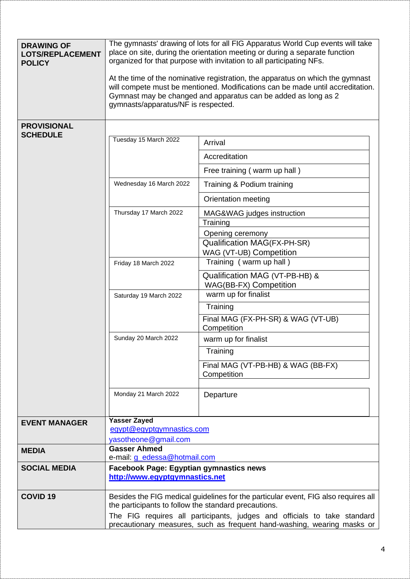| <b>DRAWING OF</b><br><b>LOTS/REPLACEMENT</b><br><b>POLICY</b> | The gymnasts' drawing of lots for all FIG Apparatus World Cup events will take<br>place on site, during the orientation meeting or during a separate function<br>organized for that purpose with invitation to all participating NFs.                                     |                                                       |  |  |  |
|---------------------------------------------------------------|---------------------------------------------------------------------------------------------------------------------------------------------------------------------------------------------------------------------------------------------------------------------------|-------------------------------------------------------|--|--|--|
|                                                               | At the time of the nominative registration, the apparatus on which the gymnast<br>will compete must be mentioned. Modifications can be made until accreditation.<br>Gymnast may be changed and apparatus can be added as long as 2<br>gymnasts/apparatus/NF is respected. |                                                       |  |  |  |
| <b>PROVISIONAL</b>                                            |                                                                                                                                                                                                                                                                           |                                                       |  |  |  |
| <b>SCHEDULE</b>                                               | Tuesday 15 March 2022                                                                                                                                                                                                                                                     | Arrival                                               |  |  |  |
|                                                               |                                                                                                                                                                                                                                                                           | Accreditation                                         |  |  |  |
|                                                               |                                                                                                                                                                                                                                                                           | Free training (warm up hall)                          |  |  |  |
|                                                               | Wednesday 16 March 2022                                                                                                                                                                                                                                                   | Training & Podium training                            |  |  |  |
|                                                               |                                                                                                                                                                                                                                                                           | Orientation meeting                                   |  |  |  |
|                                                               | Thursday 17 March 2022                                                                                                                                                                                                                                                    | MAG&WAG judges instruction                            |  |  |  |
|                                                               |                                                                                                                                                                                                                                                                           | Training                                              |  |  |  |
|                                                               |                                                                                                                                                                                                                                                                           | Opening ceremony<br>Qualification MAG(FX-PH-SR)       |  |  |  |
|                                                               | WAG (VT-UB) Competition                                                                                                                                                                                                                                                   |                                                       |  |  |  |
|                                                               | Training (warm up hall)<br>Friday 18 March 2022                                                                                                                                                                                                                           |                                                       |  |  |  |
|                                                               | Qualification MAG (VT-PB-HB) &                                                                                                                                                                                                                                            |                                                       |  |  |  |
|                                                               | Saturday 19 March 2022                                                                                                                                                                                                                                                    | <b>WAG(BB-FX) Competition</b><br>warm up for finalist |  |  |  |
|                                                               |                                                                                                                                                                                                                                                                           | Training                                              |  |  |  |
|                                                               |                                                                                                                                                                                                                                                                           | Final MAG (FX-PH-SR) & WAG (VT-UB)                    |  |  |  |
|                                                               | Competition                                                                                                                                                                                                                                                               |                                                       |  |  |  |
|                                                               | Sunday 20 March 2022<br>warm up for finalist                                                                                                                                                                                                                              |                                                       |  |  |  |
|                                                               | Training                                                                                                                                                                                                                                                                  |                                                       |  |  |  |
|                                                               | Final MAG (VT-PB-HB) & WAG (BB-FX)<br>Competition                                                                                                                                                                                                                         |                                                       |  |  |  |
|                                                               | Monday 21 March 2022                                                                                                                                                                                                                                                      | Departure                                             |  |  |  |
| <b>EVENT MANAGER</b>                                          | <b>Yasser Zayed</b>                                                                                                                                                                                                                                                       |                                                       |  |  |  |
|                                                               | egypt@egyptgymnastics.com                                                                                                                                                                                                                                                 |                                                       |  |  |  |
| <b>MEDIA</b>                                                  | yasotheone@gmail.com<br><b>Gasser Ahmed</b>                                                                                                                                                                                                                               |                                                       |  |  |  |
|                                                               | e-mail: <i>g_edessa@hotmail.com</i>                                                                                                                                                                                                                                       |                                                       |  |  |  |
| <b>SOCIAL MEDIA</b>                                           | <b>Facebook Page: Egyptian gymnastics news</b><br>http://www.egyptgymnastics.net                                                                                                                                                                                          |                                                       |  |  |  |
| <b>COVID 19</b>                                               | Besides the FIG medical guidelines for the particular event, FIG also requires all<br>the participants to follow the standard precautions.                                                                                                                                |                                                       |  |  |  |
|                                                               | The FIG requires all participants, judges and officials to take standard<br>precautionary measures, such as frequent hand-washing, wearing masks or                                                                                                                       |                                                       |  |  |  |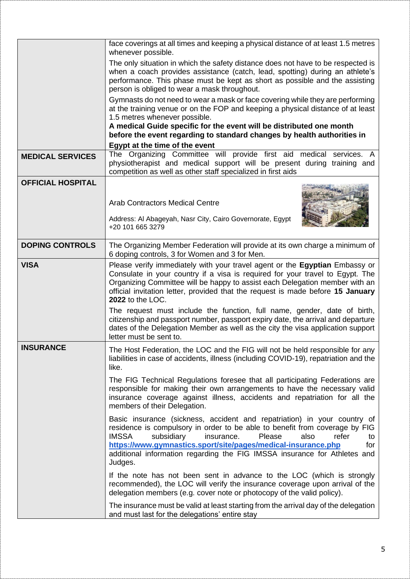|                          | face coverings at all times and keeping a physical distance of at least 1.5 metres<br>whenever possible.                                                                                                                                                                                                                                                                                             |
|--------------------------|------------------------------------------------------------------------------------------------------------------------------------------------------------------------------------------------------------------------------------------------------------------------------------------------------------------------------------------------------------------------------------------------------|
|                          | The only situation in which the safety distance does not have to be respected is<br>when a coach provides assistance (catch, lead, spotting) during an athlete's<br>performance. This phase must be kept as short as possible and the assisting<br>person is obliged to wear a mask throughout.                                                                                                      |
|                          | Gymnasts do not need to wear a mask or face covering while they are performing<br>at the training venue or on the FOP and keeping a physical distance of at least<br>1.5 metres whenever possible.<br>A medical Guide specific for the event will be distributed one month                                                                                                                           |
|                          | before the event regarding to standard changes by health authorities in                                                                                                                                                                                                                                                                                                                              |
|                          | Egypt at the time of the event                                                                                                                                                                                                                                                                                                                                                                       |
| <b>MEDICAL SERVICES</b>  | The Organizing Committee will provide first aid medical services. A<br>physiotherapist and medical support will be present during training and<br>competition as well as other staff specialized in first aids                                                                                                                                                                                       |
| <b>OFFICIAL HOSPITAL</b> |                                                                                                                                                                                                                                                                                                                                                                                                      |
|                          | <b>Arab Contractors Medical Centre</b>                                                                                                                                                                                                                                                                                                                                                               |
|                          | Address: Al Abageyah, Nasr City, Cairo Governorate, Egypt<br>+20 101 665 3279                                                                                                                                                                                                                                                                                                                        |
| <b>DOPING CONTROLS</b>   | The Organizing Member Federation will provide at its own charge a minimum of<br>6 doping controls, 3 for Women and 3 for Men.                                                                                                                                                                                                                                                                        |
| <b>VISA</b>              | Please verify immediately with your travel agent or the Egyptian Embassy or<br>Consulate in your country if a visa is required for your travel to Egypt. The<br>Organizing Committee will be happy to assist each Delegation member with an<br>official invitation letter, provided that the request is made before 15 January<br>2022 to the LOC.                                                   |
|                          | The request must include the function, full name, gender, date of birth,<br>citizenship and passport number, passport expiry date, the arrival and departure<br>dates of the Delegation Member as well as the city the visa application support<br>letter must be sent to.                                                                                                                           |
| <b>INSURANCE</b>         | The Host Federation, the LOC and the FIG will not be held responsible for any<br>liabilities in case of accidents, illness (including COVID-19), repatriation and the<br>like.                                                                                                                                                                                                                       |
|                          | The FIG Technical Regulations foresee that all participating Federations are<br>responsible for making their own arrangements to have the necessary valid<br>insurance coverage against illness, accidents and repatriation for all the<br>members of their Delegation.                                                                                                                              |
|                          | Basic insurance (sickness, accident and repatriation) in your country of<br>residence is compulsory in order to be able to benefit from coverage by FIG<br><b>IMSSA</b><br>subsidiary<br>Please<br>insurance.<br>also<br>refer<br>to<br>https://www.gymnastics.sport/site/pages/medical-insurance.php<br>for<br>additional information regarding the FIG IMSSA insurance for Athletes and<br>Judges. |
|                          | If the note has not been sent in advance to the LOC (which is strongly<br>recommended), the LOC will verify the insurance coverage upon arrival of the<br>delegation members (e.g. cover note or photocopy of the valid policy).                                                                                                                                                                     |
|                          | The insurance must be valid at least starting from the arrival day of the delegation<br>and must last for the delegations' entire stay                                                                                                                                                                                                                                                               |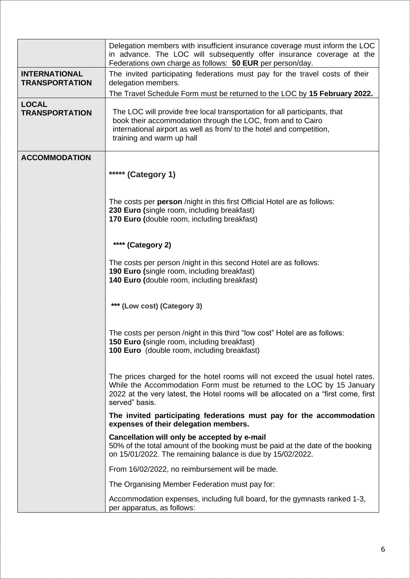|                                               | Delegation members with insufficient insurance coverage must inform the LOC<br>in advance. The LOC will subsequently offer insurance coverage at the<br>Federations own charge as follows: 50 EUR per person/day.                                               |
|-----------------------------------------------|-----------------------------------------------------------------------------------------------------------------------------------------------------------------------------------------------------------------------------------------------------------------|
| <b>INTERNATIONAL</b><br><b>TRANSPORTATION</b> | The invited participating federations must pay for the travel costs of their<br>delegation members.                                                                                                                                                             |
|                                               | The Travel Schedule Form must be returned to the LOC by 15 February 2022.                                                                                                                                                                                       |
| <b>LOCAL</b><br><b>TRANSPORTATION</b>         | The LOC will provide free local transportation for all participants, that<br>book their accommodation through the LOC, from and to Cairo<br>international airport as well as from/ to the hotel and competition,<br>training and warm up hall                   |
| <b>ACCOMMODATION</b>                          |                                                                                                                                                                                                                                                                 |
|                                               | ***** (Category 1)                                                                                                                                                                                                                                              |
|                                               | The costs per person /night in this first Official Hotel are as follows:<br>230 Euro (single room, including breakfast)<br>170 Euro (double room, including breakfast)                                                                                          |
|                                               | **** (Category 2)                                                                                                                                                                                                                                               |
|                                               | The costs per person /night in this second Hotel are as follows:<br>190 Euro (single room, including breakfast)<br>140 Euro (double room, including breakfast)                                                                                                  |
|                                               | *** (Low cost) (Category 3)                                                                                                                                                                                                                                     |
|                                               | The costs per person /night in this third "low cost" Hotel are as follows:<br><b>150 Euro (single room, including breakfast)</b><br><b>100 Euro</b> (double room, including breakfast)                                                                          |
|                                               | The prices charged for the hotel rooms will not exceed the usual hotel rates.<br>While the Accommodation Form must be returned to the LOC by 15 January<br>2022 at the very latest, the Hotel rooms will be allocated on a "first come, first<br>served" basis. |
|                                               | The invited participating federations must pay for the accommodation<br>expenses of their delegation members.                                                                                                                                                   |
|                                               | Cancellation will only be accepted by e-mail<br>50% of the total amount of the booking must be paid at the date of the booking<br>on 15/01/2022. The remaining balance is due by 15/02/2022.                                                                    |
|                                               | From 16/02/2022, no reimbursement will be made.                                                                                                                                                                                                                 |
|                                               | The Organising Member Federation must pay for:                                                                                                                                                                                                                  |
|                                               | Accommodation expenses, including full board, for the gymnasts ranked 1-3,<br>per apparatus, as follows:                                                                                                                                                        |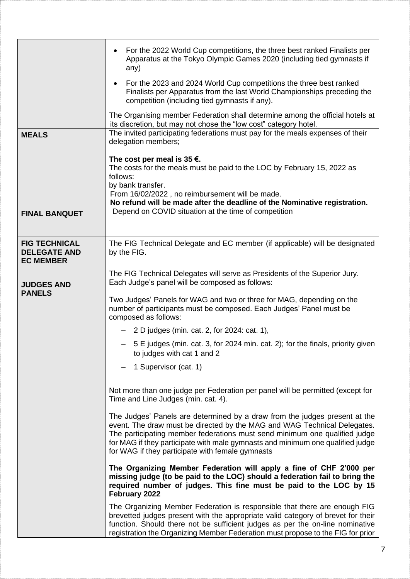|                                                                 | For the 2022 World Cup competitions, the three best ranked Finalists per<br>Apparatus at the Tokyo Olympic Games 2020 (including tied gymnasts if<br>any)                                                                                                                                                                                                                  |  |  |
|-----------------------------------------------------------------|----------------------------------------------------------------------------------------------------------------------------------------------------------------------------------------------------------------------------------------------------------------------------------------------------------------------------------------------------------------------------|--|--|
|                                                                 | For the 2023 and 2024 World Cup competitions the three best ranked<br>$\bullet$<br>Finalists per Apparatus from the last World Championships preceding the<br>competition (including tied gymnasts if any).                                                                                                                                                                |  |  |
|                                                                 | The Organising member Federation shall determine among the official hotels at<br>its discretion, but may not chose the "low cost" category hotel.                                                                                                                                                                                                                          |  |  |
| <b>MEALS</b>                                                    | The invited participating federations must pay for the meals expenses of their<br>delegation members;                                                                                                                                                                                                                                                                      |  |  |
|                                                                 | The cost per meal is 35 $\epsilon$ .<br>The costs for the meals must be paid to the LOC by February 15, 2022 as<br>follows:<br>by bank transfer.<br>From 16/02/2022, no reimbursement will be made.<br>No refund will be made after the deadline of the Nominative registration.                                                                                           |  |  |
| <b>FINAL BANQUET</b>                                            | Depend on COVID situation at the time of competition                                                                                                                                                                                                                                                                                                                       |  |  |
| <b>FIG TECHNICAL</b><br><b>DELEGATE AND</b><br><b>EC MEMBER</b> | The FIG Technical Delegate and EC member (if applicable) will be designated<br>by the FIG.                                                                                                                                                                                                                                                                                 |  |  |
| <b>JUDGES AND</b>                                               | The FIG Technical Delegates will serve as Presidents of the Superior Jury.<br>Each Judge's panel will be composed as follows:                                                                                                                                                                                                                                              |  |  |
| <b>PANELS</b>                                                   | Two Judges' Panels for WAG and two or three for MAG, depending on the<br>number of participants must be composed. Each Judges' Panel must be<br>composed as follows:                                                                                                                                                                                                       |  |  |
|                                                                 | $-$ 2 D judges (min. cat. 2, for 2024: cat. 1),                                                                                                                                                                                                                                                                                                                            |  |  |
|                                                                 | - 5 E judges (min. cat. 3, for 2024 min. cat. 2); for the finals, priority given<br>to judges with cat 1 and 2                                                                                                                                                                                                                                                             |  |  |
|                                                                 | 1 Supervisor (cat. 1)                                                                                                                                                                                                                                                                                                                                                      |  |  |
|                                                                 | Not more than one judge per Federation per panel will be permitted (except for<br>Time and Line Judges (min. cat. 4).                                                                                                                                                                                                                                                      |  |  |
|                                                                 | The Judges' Panels are determined by a draw from the judges present at the<br>event. The draw must be directed by the MAG and WAG Technical Delegates.<br>The participating member federations must send minimum one qualified judge<br>for MAG if they participate with male gymnasts and minimum one qualified judge<br>for WAG if they participate with female gymnasts |  |  |
|                                                                 | The Organizing Member Federation will apply a fine of CHF 2'000 per<br>missing judge (to be paid to the LOC) should a federation fail to bring the<br>required number of judges. This fine must be paid to the LOC by 15<br>February 2022                                                                                                                                  |  |  |
|                                                                 | The Organizing Member Federation is responsible that there are enough FIG<br>brevetted judges present with the appropriate valid category of brevet for their<br>function. Should there not be sufficient judges as per the on-line nominative<br>registration the Organizing Member Federation must propose to the FIG for prior                                          |  |  |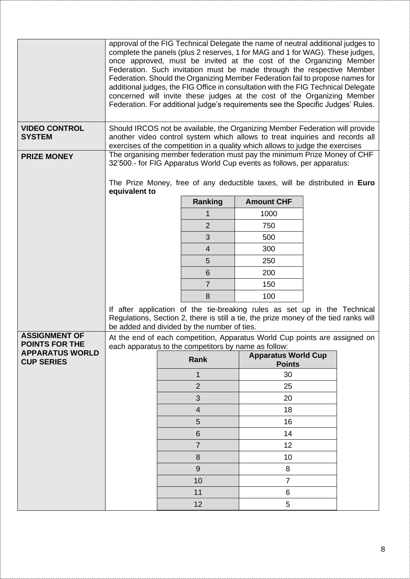|                                          |                                                                                    |                                                                                                                                                                                                                                               |                | approval of the FIG Technical Delegate the name of neutral additional judges to<br>complete the panels (plus 2 reserves, 1 for MAG and 1 for WAG). These judges,<br>once approved, must be invited at the cost of the Organizing Member<br>Federation. Such invitation must be made through the respective Member<br>Federation. Should the Organizing Member Federation fail to propose names for<br>additional judges, the FIG Office in consultation with the FIG Technical Delegate<br>concerned will invite these judges at the cost of the Organizing Member<br>Federation. For additional judge's requirements see the Specific Judges' Rules. |  |  |
|------------------------------------------|------------------------------------------------------------------------------------|-----------------------------------------------------------------------------------------------------------------------------------------------------------------------------------------------------------------------------------------------|----------------|-------------------------------------------------------------------------------------------------------------------------------------------------------------------------------------------------------------------------------------------------------------------------------------------------------------------------------------------------------------------------------------------------------------------------------------------------------------------------------------------------------------------------------------------------------------------------------------------------------------------------------------------------------|--|--|
| <b>VIDEO CONTROL</b><br><b>SYSTEM</b>    |                                                                                    | Should IRCOS not be available, the Organizing Member Federation will provide<br>another video control system which allows to treat inquiries and records all<br>exercises of the competition in a quality which allows to judge the exercises |                |                                                                                                                                                                                                                                                                                                                                                                                                                                                                                                                                                                                                                                                       |  |  |
| <b>PRIZE MONEY</b>                       |                                                                                    |                                                                                                                                                                                                                                               |                | The organising member federation must pay the minimum Prize Money of CHF<br>32'500.- for FIG Apparatus World Cup events as follows, per apparatus:                                                                                                                                                                                                                                                                                                                                                                                                                                                                                                    |  |  |
|                                          | equivalent to                                                                      |                                                                                                                                                                                                                                               |                | The Prize Money, free of any deductible taxes, will be distributed in Euro                                                                                                                                                                                                                                                                                                                                                                                                                                                                                                                                                                            |  |  |
|                                          |                                                                                    |                                                                                                                                                                                                                                               | Ranking        | <b>Amount CHF</b>                                                                                                                                                                                                                                                                                                                                                                                                                                                                                                                                                                                                                                     |  |  |
|                                          |                                                                                    |                                                                                                                                                                                                                                               |                | 1000                                                                                                                                                                                                                                                                                                                                                                                                                                                                                                                                                                                                                                                  |  |  |
|                                          |                                                                                    |                                                                                                                                                                                                                                               | $\overline{2}$ | 750                                                                                                                                                                                                                                                                                                                                                                                                                                                                                                                                                                                                                                                   |  |  |
|                                          |                                                                                    |                                                                                                                                                                                                                                               | 3              | 500                                                                                                                                                                                                                                                                                                                                                                                                                                                                                                                                                                                                                                                   |  |  |
|                                          |                                                                                    |                                                                                                                                                                                                                                               | $\overline{4}$ | 300                                                                                                                                                                                                                                                                                                                                                                                                                                                                                                                                                                                                                                                   |  |  |
|                                          |                                                                                    |                                                                                                                                                                                                                                               | 5              | 250                                                                                                                                                                                                                                                                                                                                                                                                                                                                                                                                                                                                                                                   |  |  |
|                                          |                                                                                    |                                                                                                                                                                                                                                               | 6              | 200                                                                                                                                                                                                                                                                                                                                                                                                                                                                                                                                                                                                                                                   |  |  |
|                                          |                                                                                    |                                                                                                                                                                                                                                               | $\overline{7}$ | 150                                                                                                                                                                                                                                                                                                                                                                                                                                                                                                                                                                                                                                                   |  |  |
|                                          |                                                                                    |                                                                                                                                                                                                                                               | 8              | 100                                                                                                                                                                                                                                                                                                                                                                                                                                                                                                                                                                                                                                                   |  |  |
|                                          |                                                                                    | If after application of the tie-breaking rules as set up in the Technical<br>Regulations, Section 2, there is still a tie, the prize money of the tied ranks will<br>be added and divided by the number of ties.                              |                |                                                                                                                                                                                                                                                                                                                                                                                                                                                                                                                                                                                                                                                       |  |  |
| <b>ASSIGNMENT OF</b>                     | At the end of each competition, Apparatus World Cup points are assigned on         |                                                                                                                                                                                                                                               |                |                                                                                                                                                                                                                                                                                                                                                                                                                                                                                                                                                                                                                                                       |  |  |
| POINTS FOR THE<br><b>APPARATUS WORLD</b> | each apparatus to the competitors by name as follow:<br><b>Apparatus World Cup</b> |                                                                                                                                                                                                                                               |                |                                                                                                                                                                                                                                                                                                                                                                                                                                                                                                                                                                                                                                                       |  |  |
| <b>CUP SERIES</b>                        |                                                                                    | Rank<br><b>Points</b>                                                                                                                                                                                                                         |                |                                                                                                                                                                                                                                                                                                                                                                                                                                                                                                                                                                                                                                                       |  |  |
|                                          |                                                                                    |                                                                                                                                                                                                                                               | $\overline{1}$ | 30                                                                                                                                                                                                                                                                                                                                                                                                                                                                                                                                                                                                                                                    |  |  |
|                                          |                                                                                    |                                                                                                                                                                                                                                               | $\overline{2}$ | 25                                                                                                                                                                                                                                                                                                                                                                                                                                                                                                                                                                                                                                                    |  |  |
|                                          |                                                                                    |                                                                                                                                                                                                                                               | 3              | 20                                                                                                                                                                                                                                                                                                                                                                                                                                                                                                                                                                                                                                                    |  |  |
|                                          |                                                                                    |                                                                                                                                                                                                                                               | $\overline{4}$ | 18                                                                                                                                                                                                                                                                                                                                                                                                                                                                                                                                                                                                                                                    |  |  |
|                                          |                                                                                    |                                                                                                                                                                                                                                               | 5              | 16                                                                                                                                                                                                                                                                                                                                                                                                                                                                                                                                                                                                                                                    |  |  |
|                                          |                                                                                    |                                                                                                                                                                                                                                               | 6              | 14                                                                                                                                                                                                                                                                                                                                                                                                                                                                                                                                                                                                                                                    |  |  |
|                                          |                                                                                    |                                                                                                                                                                                                                                               | $\overline{7}$ | 12                                                                                                                                                                                                                                                                                                                                                                                                                                                                                                                                                                                                                                                    |  |  |
|                                          |                                                                                    |                                                                                                                                                                                                                                               | 8              | 10                                                                                                                                                                                                                                                                                                                                                                                                                                                                                                                                                                                                                                                    |  |  |
|                                          |                                                                                    |                                                                                                                                                                                                                                               | 9              | 8                                                                                                                                                                                                                                                                                                                                                                                                                                                                                                                                                                                                                                                     |  |  |
|                                          |                                                                                    |                                                                                                                                                                                                                                               | 10             | $\overline{7}$                                                                                                                                                                                                                                                                                                                                                                                                                                                                                                                                                                                                                                        |  |  |
|                                          |                                                                                    |                                                                                                                                                                                                                                               | 11             | 6                                                                                                                                                                                                                                                                                                                                                                                                                                                                                                                                                                                                                                                     |  |  |
|                                          |                                                                                    |                                                                                                                                                                                                                                               | 12             | 5                                                                                                                                                                                                                                                                                                                                                                                                                                                                                                                                                                                                                                                     |  |  |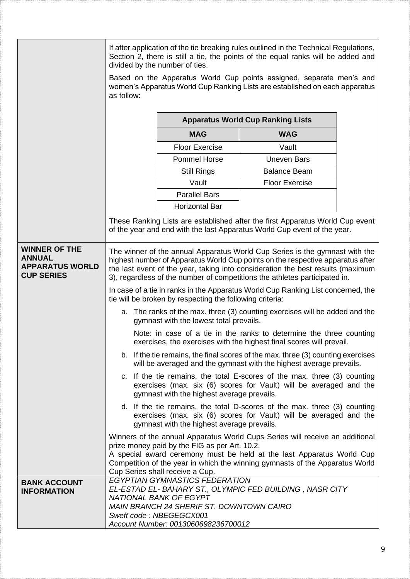|                                                                                      | If after application of the tie breaking rules outlined in the Technical Regulations,<br>Section 2, there is still a tie, the points of the equal ranks will be added and<br>divided by the number of ties.                                                                                                                    |                                                                                                                                                                                                                  |                                                                                                                                                                                                                                       |  |
|--------------------------------------------------------------------------------------|--------------------------------------------------------------------------------------------------------------------------------------------------------------------------------------------------------------------------------------------------------------------------------------------------------------------------------|------------------------------------------------------------------------------------------------------------------------------------------------------------------------------------------------------------------|---------------------------------------------------------------------------------------------------------------------------------------------------------------------------------------------------------------------------------------|--|
|                                                                                      | Based on the Apparatus World Cup points assigned, separate men's and<br>women's Apparatus World Cup Ranking Lists are established on each apparatus<br>as follow:                                                                                                                                                              |                                                                                                                                                                                                                  |                                                                                                                                                                                                                                       |  |
|                                                                                      | <b>Apparatus World Cup Ranking Lists</b>                                                                                                                                                                                                                                                                                       |                                                                                                                                                                                                                  |                                                                                                                                                                                                                                       |  |
|                                                                                      |                                                                                                                                                                                                                                                                                                                                | <b>MAG</b>                                                                                                                                                                                                       | <b>WAG</b>                                                                                                                                                                                                                            |  |
|                                                                                      |                                                                                                                                                                                                                                                                                                                                | <b>Floor Exercise</b>                                                                                                                                                                                            | Vault                                                                                                                                                                                                                                 |  |
|                                                                                      |                                                                                                                                                                                                                                                                                                                                | <b>Pommel Horse</b>                                                                                                                                                                                              | <b>Uneven Bars</b>                                                                                                                                                                                                                    |  |
|                                                                                      |                                                                                                                                                                                                                                                                                                                                | <b>Still Rings</b>                                                                                                                                                                                               | <b>Balance Beam</b>                                                                                                                                                                                                                   |  |
|                                                                                      |                                                                                                                                                                                                                                                                                                                                | Vault                                                                                                                                                                                                            | <b>Floor Exercise</b>                                                                                                                                                                                                                 |  |
|                                                                                      |                                                                                                                                                                                                                                                                                                                                | <b>Parallel Bars</b>                                                                                                                                                                                             |                                                                                                                                                                                                                                       |  |
|                                                                                      |                                                                                                                                                                                                                                                                                                                                | <b>Horizontal Bar</b>                                                                                                                                                                                            |                                                                                                                                                                                                                                       |  |
|                                                                                      |                                                                                                                                                                                                                                                                                                                                |                                                                                                                                                                                                                  | These Ranking Lists are established after the first Apparatus World Cup event<br>of the year and end with the last Apparatus World Cup event of the year.                                                                             |  |
| <b>WINNER OF THE</b><br><b>ANNUAL</b><br><b>APPARATUS WORLD</b><br><b>CUP SERIES</b> | The winner of the annual Apparatus World Cup Series is the gymnast with the<br>highest number of Apparatus World Cup points on the respective apparatus after<br>the last event of the year, taking into consideration the best results (maximum<br>3), regardless of the number of competitions the athletes participated in. |                                                                                                                                                                                                                  |                                                                                                                                                                                                                                       |  |
|                                                                                      | In case of a tie in ranks in the Apparatus World Cup Ranking List concerned, the<br>tie will be broken by respecting the following criteria:                                                                                                                                                                                   |                                                                                                                                                                                                                  |                                                                                                                                                                                                                                       |  |
|                                                                                      |                                                                                                                                                                                                                                                                                                                                | gymnast with the lowest total prevails.                                                                                                                                                                          | a. The ranks of the max. three (3) counting exercises will be added and the                                                                                                                                                           |  |
|                                                                                      |                                                                                                                                                                                                                                                                                                                                |                                                                                                                                                                                                                  | Note: in case of a tie in the ranks to determine the three counting<br>exercises, the exercises with the highest final scores will prevail.                                                                                           |  |
|                                                                                      | b. If the tie remains, the final scores of the max. three (3) counting exercises<br>will be averaged and the gymnast with the highest average prevails.                                                                                                                                                                        |                                                                                                                                                                                                                  |                                                                                                                                                                                                                                       |  |
|                                                                                      | c. If the tie remains, the total E-scores of the max. three (3) counting<br>exercises (max. six (6) scores for Vault) will be averaged and the<br>gymnast with the highest average prevails.                                                                                                                                   |                                                                                                                                                                                                                  |                                                                                                                                                                                                                                       |  |
|                                                                                      | d. If the tie remains, the total D-scores of the max. three (3) counting<br>exercises (max. six (6) scores for Vault) will be averaged and the<br>gymnast with the highest average prevails.                                                                                                                                   |                                                                                                                                                                                                                  |                                                                                                                                                                                                                                       |  |
|                                                                                      |                                                                                                                                                                                                                                                                                                                                | prize money paid by the FIG as per Art. 10.2.                                                                                                                                                                    | Winners of the annual Apparatus World Cups Series will receive an additional<br>A special award ceremony must be held at the last Apparatus World Cup<br>Competition of the year in which the winning gymnasts of the Apparatus World |  |
| <b>BANK ACCOUNT</b><br><b>INFORMATION</b>                                            |                                                                                                                                                                                                                                                                                                                                | Cup Series shall receive a Cup.<br>EGYPTIAN GYMNASTICS FEDERATION<br>NATIONAL BANK OF EGYPT<br><b>MAIN BRANCH 24 SHERIF ST. DOWNTOWN CAIRO</b><br>Sweft code: NBEGEGCX001<br>Account Number: 0013060698236700012 | EL-ESTAD EL- BAHARY ST., OLYMPIC FED BUILDING, NASR CITY                                                                                                                                                                              |  |